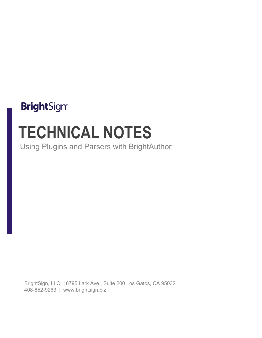## **BrightSign®**

# **TECHNICAL NOTES**

Using Plugins and Parsers with BrightAuthor

BrightSign, LLC. 16795 Lark Ave., Suite 200 Los Gatos, CA 95032 408-852-9263 | www.brightsign.biz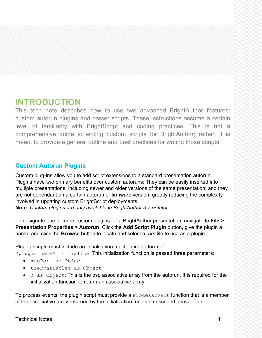### **INTRODUCTION**

This tech note describes how to use two advanced BrightAuthor features: custom autorun plugins and parser scripts. These instructions assume a certain level of familiarity with BrightScript and coding practices. This is not a comprehensive guide to writing custom scripts for BrightAuthor; rather, it is meant to provide a general outline and best practices for writing those scripts.

#### **Custom Autorun Plugins**

Custom plug-ins allow you to add script extensions to a standard presentation autorun. Plugins have two primary benefits over custom autoruns: They can be easily inserted into multiple presentations, including newer and older versions of the same presentation; and they are not dependant on a certain autorun or firmware version, greatly reducing the complexity involved in updating custom BrightScript deployments.

**Note**: *Custom plugins are only available in BrightAuthor 3.7 or later.*

To designate one or more custom plugins for a BrightAuthor presentation, navigate to **File > Presentation Properties > Autorun**. Click the **Add Script Plugin** button, give the plugin a name, and click the **Browse** button to locate and select a *.brs* file to use as a plugin.

Plug-in scripts must include an initialization function in the form of <plugin\_name> Initialize. This initialization function is passed three parameters:

- msgPort as Object
- userVariables as Object
- o as Object: This is the bsp associative array from the autorun. It is required for the initialization function to return an associative array.

To process events, the plugin script must provide a ProcessEvent function that is a member of the associative array returned by the initialization function described above. The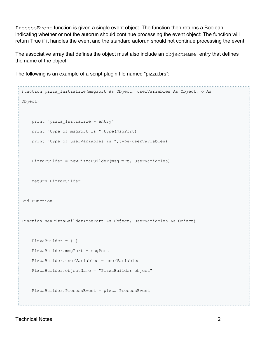ProcessEvent function is given a single event object. The function then returns a Boolean indicating whether or not the autorun should continue processing the event object: The function will return True if it handles the event and the standard autorun should not continue processing the event.

The associative array that defines the object must also include an  $\circ$ bjectName entry that defines the name of the object.

The following is an example of a script plugin file named "pizza.brs":

```
Function pizza Initialize(msgPort As Object, userVariables As Object, o As
Object)
     print "pizza_Initialize - entry"
    print "type of msgPort is "; type (msgPort)
    print "type of userVariables is "; type(userVariables)
     PizzaBuilder = newPizzaBuilder(msgPort, userVariables)
     return PizzaBuilder
End Function
Function newPizzaBuilder(msgPort As Object, userVariables As Object)
     PizzaBuilder = { }
     PizzaBuilder.msgPort = msgPort
     PizzaBuilder.userVariables = userVariables
     PizzaBuilder.objectName = "PizzaBuilder_object"
     PizzaBuilder.ProcessEvent = pizza_ProcessEvent
```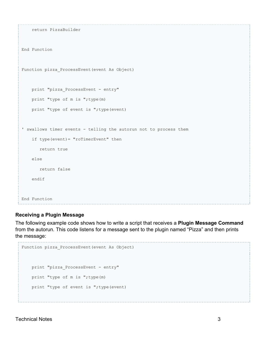```
 return PizzaBuilder
End Function
Function pizza_ProcessEvent(event As Object)
     print "pizza_ProcessEvent - entry"
    print "type of m is "; type (m)
    print "type of event is "; type(event)
' swallows timer events - telling the autorun not to process them
     if type(event)= "roTimerEvent" then
        return true
     else
        return false
     endif
End Function
```
#### **Receiving a Plugin Message**

The following example code shows how to write a script that receives a **Plugin Message Command** from the autorun. This code listens for a message sent to the plugin named "Pizza" and then prints the message:

```
Function pizza_ProcessEvent(event As Object)
     print "pizza_ProcessEvent - entry"
     print "type of m is ";type(m)
    print "type of event is "; type(event)
```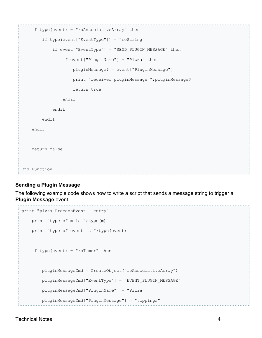```
 if type(event) = "roAssociativeArray" then
         if type(event["EventType"]) = "roString"
             if event["EventType"] = "SEND_PLUGIN_MESSAGE" then
                  if event["PluginName"] = "Pizza" then
                      pluginMessage$ = event["PluginMessage"]
                      print "received pluginMessage ";pluginMessage$
                      return true
                 endif
             endif
         endif
     endif
     return false
End Function
```
#### **Sending a Plugin Message**

The following example code shows how to write a script that sends a message string to trigger a **Plugin Message** event.

```
print "pizza_ProcessEvent - entry"
   print "type of m is ";type(m)
    print "type of event is "; type(event)
    if type(event) = "roTimer" then
         pluginMessageCmd = CreateObject("roAssociativeArray")
         pluginMessageCmd["EventType"] = "EVENT_PLUGIN_MESSAGE"
         pluginMessageCmd["PluginName"] = "Pizza"
         pluginMessageCmd["PluginMessage"] = "toppings"
```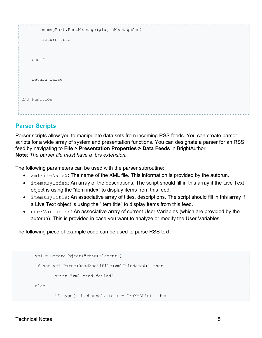| m.msgPort.PostMessage(pluginMessageCmd) |  |
|-----------------------------------------|--|
| return true                             |  |
|                                         |  |
| endif                                   |  |
| return false                            |  |
| End Function                            |  |
|                                         |  |

#### **Parser Scripts**

Parser scripts allow you to manipulate data sets from incoming RSS feeds. You can create parser scripts for a wide array of system and presentation functions. You can designate a parser for an RSS feed by navigating to **File > Presentation Properties > Data Feeds** in BrightAuthor. **Note**: *The parser file must have a* .brs *extension.*

The following parameters can be used with the parser subroutine:

- xmlFileName\$: The name of the XML file. This information is provided by the autorun.
- itemsByIndex: An array of the descriptions. The script should fill in this array if the Live Text object is using the "item index" to display items from this feed.
- itemsByTitle: An associative array of titles, descriptions. The script should fill in this array if a Live Text object is using the "item title" to display items from this feed.
- userVariables: An associative array of current User Variables (which are provided by the autorun). This is provided in case you want to analyze or modify the User Variables.

The following piece of example code can be used to parse RSS text:

```
xml = CreateObject("roXMLElement")
if not xml.Parse(ReadAsciiFile(xmlFileName$)) then 
       print "xml read failed"
else
       if type(xml.channel.item) = "roXMLList" then
```